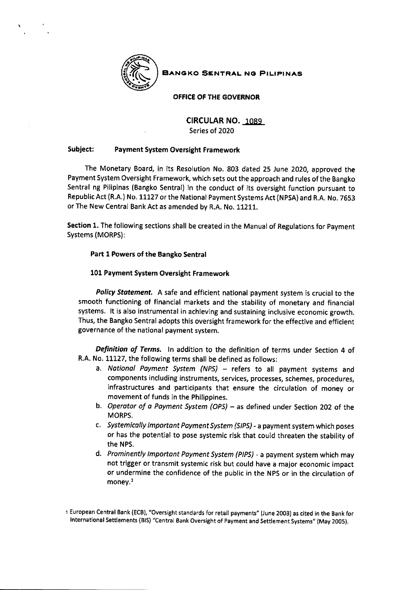

**BANGKO SENTRAL NG PILIPINAS** 

OFFICE OF THE GOVERNOR

CIRCULAR NO. 1089

Series of 202O

## Subject: Payment System Oversight Framework

The Monetary Board, in its Resolution No. 803 dated 25 June 2020, approved the Payment System Oversight Framework, which sets out the approach and rules of the Bangko Sentral ng Pilipinas (Bangko Sentral) in the conduct of its oversight function pursuant to Republic Act (R.A.) No. 11127 or the National Payment Systems Act (NPSA) and R.A. No. 7653 orThe New Central BankAct as amended by R.A. No. 11211.

Section 1. The following sections shall be created in the Manual of Regulations for Payment Systems (MORPS):

## Part I Powers of the Bangko Sentral

## 101 Payment System Oversight Framework

Policy Statement. A safe and efficient national payment system is crucial to the smooth functioning of financial markets and the stability of monetary and financial systems. lt is also instrumental in achieving and sustaining inclusive economic growth. Thus, the Bangko Sentral adopts this oversight framework for the effective and efficient governance of the national payment system.

Definition of Terms. In addition to the definition of terms under Section 4 of R.A. No. 11127, the following terms shall be defined as follows:

- a. National Payment System (NPS) refers to all payment systems and components including instruments, services, processes, schemes, procedures, infrastructures and participants that ensure the circulation of money or movement of funds in the philippines.
- b. Operator of a Payment System (OPS) as defined under Section 202 of the MORPS.
- c. Systemically Important Payment System (SIPS) a payment system which poses or has the potential to pose systemic risk that could threaten the stability of the NPS.
- d. Prominently lmportont Poyment System (PIPS) a payment system which may not trigger or transmit systemic risk but could have a major economic impact or undermine the confidence of the public in the NPS or in the circulation of money.<sup>1</sup>

t European Central Bank (ECB), "Oversight standards for retail payments" (June 2003) as cited in the Bank for International Settlements (815) "Central Bank Oversight of Payment and Settlement Systems" (May 2005).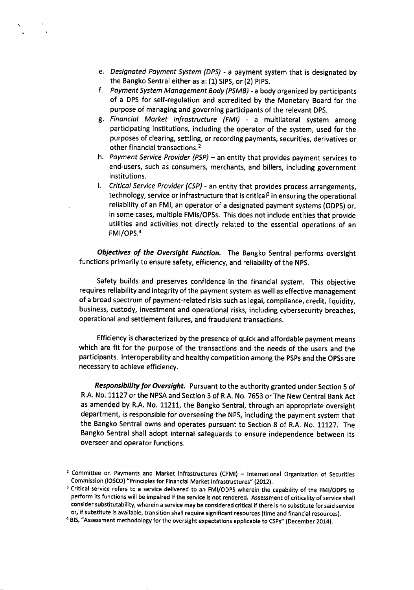- e. *Designated Payment System (DPS) -* a payment system that is designated by the Bangko Sentral either as a:  $(1)$  SIPS, or  $(2)$  PIPS.
- f. Payment System Management Body (PSMB) a body organized by participants of a DPS for self-regulation and accredited by the Monetary Board for the purpose of managing and governing participants of the relevant DpS.
- g. Financial Market Infrastructure (FMI) a multilateral system among participating institutions, including the operator of the system, used for the purposes of clearing, settling, or recording payments, securities, derivatives or other financial transactions. <sup>2</sup>
- h. *Payment Service Provider (PSP)* an entity that provides payment services to end-users, such as consumers, merchants, and bitlers, including government institutions.
- i. Critical Service Provider (CSP) an entity that provides process arrangements, technology, service or infrastructure that is critical<sup>3</sup> in ensuring the operational reliability of an FMl, an operator of a designated payment systems (ODpS) or, in some cases, multiple FMls/oPSs. This does not include entities that provide utilities and activities not directly related to the essential operations of an FMl/OPS.4

Objectives of the Oversight Function. The Bangko Sentral performs oversight functions primarily to ensure safety, efficiency, and reliability of the Nps.

Safety builds and preserves confidence in the financial system, This objective requires reliability and integrity of the payment system as well as effective management of a broad spectrum of payment-related risks such as legal, compliance, credit, liquidity, business, custody, investment and operational risks, including cybersecurity breaches, operational and settlement failures, and fraudulent transactions.

Efficiency is characterized by the presence of quick and affordable payment means which are fit for the purpose of the transactions and the needs of the users and the participants. lnteroperability and healthy competition among the PSPs and the OPSs are necessary to achieve efficiency.

Responsibility for Oversight. Pursuant to the authority granted under Section 5 of R.A. No. 11127 or the NPSA and Section 3 of R.A. No. 7653 or The New Central Bank Act as amended by R.A. No. 11211, the Bangko Sentral, through an appropriate oversight department, is responsible for overseeing the NPS, including the payment system that the Bangko Sentral owns and operates pursuant to Section 8 of R.A. No. 11127. The Bangko Sentral shall adopt internal safeguards to ensure independence between its overseer and operator functions.

<sup>&</sup>lt;sup>2</sup> Committee on Payments and Market infrastructures (CPMI) - International Organization of Securities Commission (IOSCO) "Principles for Financial Market Infrastructures" (2012).

<sup>&</sup>lt;sup>3</sup> Critical service refers to a service delivered to an FMI/ODPS wherein the capability of the FMI/ODPS to perform its functions will be impaired if the service is not rendered. Assessment of criticality of service shall consider substitutability, wherein a service may be considered critical if there is no substitute for said service or, if substitute is available, transition shall require significant resources (time and financial resources).

<sup>&</sup>lt;sup>4</sup> BIS, "Assessment methodology for the oversight expectations applicable to CSPs" (December 2014).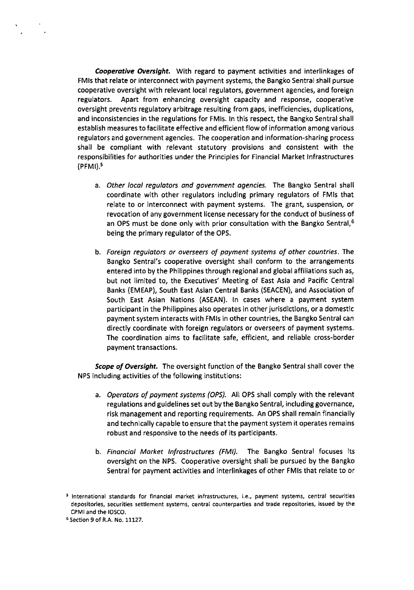Cooperative Oversight. With regard to payment activities and interlinkages of FMls that relate or interconnect with payment systems, the Bangko Sentral shall pursue cooperative oversight with relevant local regulators, government agencies, and foreign regulators. Apart from enhancing oversight capacity and response, cooperative oversight prevents regulatory arbitrage resulting from gaps, inefficiencies, duplications, and inconsistencies in the regulations for FMls. In this respect, the Bangko Sentral shall establish measures to facilitate effective and efficient flow of information among various regulators and government agencies. The cooperation and information-sharing process shall be compliant with relevant statutory provisions and consistent with the responsibilities for authorities under the Principles for Financial Market lnfrastructures  $(PFMI).<sup>5</sup>$ 

- a. Other local regulators and government agencies. The Bangko Sentral shall coordinate with other regulators including primary regulators of FMls that relate to or interconnect with payment systems. The grant, suspension, or revocation of any government license necessary for the conduct of business of an OPS must be done only with prior consultation with the Bangko Sentral,  $6$ being the primary regulator of the OPS.
- b. Foreign regulators or overseers of payment systems of other countries. The Bangko Sentral's cooperative oversight shall conform to the arrangements entered into by the Philippines through regional and global affiliations such as, but not limited to, the Executives' Meeting of East Asia and Pacific Central Banks (EMEAP), South East Asian Central Banks (SEACEN), and Association of South East Asian Nations (ASEAN). ln cases where a payment system participant in the Philippines also operates in other jurisdictions, or a domestic payment system interacts with FMls in other countries, the Bangko Sentral can directly coordinate with foreign regulators or overseers of payment systems. The coordination aims to facilitate safe, efficient, and reliable cross-border payment transactions.

Scope of Oversight. The oversight function of the Bangko Sentral shall cover the NPS including activities of the following institutions:

- a. Operators of payment systems (OPS). All OPS shall comply with the relevant regulations and guidelines set out bythe Bangko Sentral, including governance, risk management and reporting requirements. An OPS shall remain financially and technically capable to ensure that the payment system it operates remains robust and responsive to the needs of its participants.
- b. Financial Market Infrastructures (FMI). The Bangko Sentral focuses its oversight on the NPS. Cooperative oversight shall be pursued by the Bangko Sentral for payment activities and interlinkages of other FMls that relate to or

<sup>5</sup> International standards for financial market infrastructures, i.e., payment systems, central securities depositories, securities settlement systems, central counterparties and trade repositories, issued by the CPMI and the IOSCO.

<sup>&</sup>lt;sup>5</sup> Section 9 of R.A. No. 11127.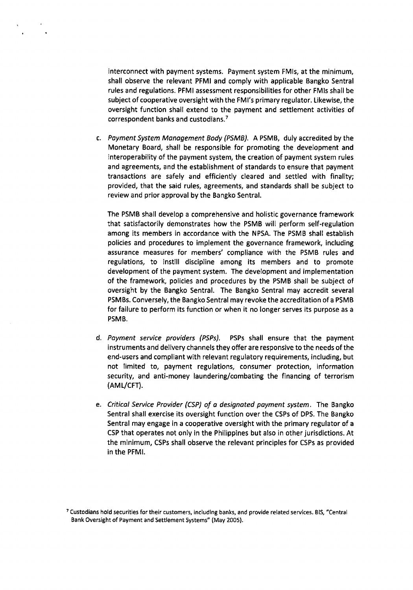interconnect with payment systems. Payment system FMls, at the minimum, shall observe the relevant PFMI and comply with applicable Bangko Sentral rules and regulations. PFMI assessment responsibilities for other FMIs shall be subject of cooperative oversight with the FMI's primary regulator. Likewise, the oversight function shall extend to the payment and settlement activities of correspondent banks and custodians.<sup>7</sup>

c. Payment System Management Body (PSMB). A PSMB, duly accredited by the Monetary Board, shall be responsible for promoting the development and interoperability of the payment system, the creation of payment system rules and agreements, and the establishment of standards to ensure that payment transactions are safely and efficiently cleared and settled with finality; provided, that the said rules, agreements, and standards shall be subject to review and prior approval by the Bangko Sentral.

The PSMB shall develop a comprehensive and holistic governance framework that satisfactorily demonstrates how the PSMB will perform self-regulation among its members in accordance with the NPSA. The PSMB shall establish policies and procedures to implement the governance framework, including assurance measures for members' compliance with the PSMB rules and regulations, to instill discipline among its members and to promote development of the payment system. The development and implementation of the framework, policies and procedures by the PSMB shall be subject of oversight by the Bangko Sentral. The Bangko Sentral may accredit several PSMBS. Conversely, the Bangko Sentral may revoke the accreditation of a PSMB for failure to perform its function or when it no longer serves its purpose as <sup>a</sup> PSMB.

- d. Payment service providers (PSPs). PSPs shall ensure that the payment instruments and delivery channels they offer are responsive to the needs of the end-users and compliant with relevant regulatory requirements, including, but not limited to, payment regulations, consumer protection, information security, and anti-money laundering/combating the financing of terrorism (AML/cFr).
- e. Critical Service Provider (CSP) of a designated payment system. The Bangko Sentral shall exercise its oversight function over the CSPs of DPS. The Bangko Sentral may engage in a cooperative oversight with the primary regulator of a CSP that operates not only in the Philippines but also in other jurisdictions. At the minimum, CSPs shall observe the relevant principles for CSPs as provided in the PFMI.

<sup>7</sup>Custodians hold securities for their customers, including banks, and provide related services. BlS, "Central Bank Oversight of Payment and Settlement Systems" (May 2005).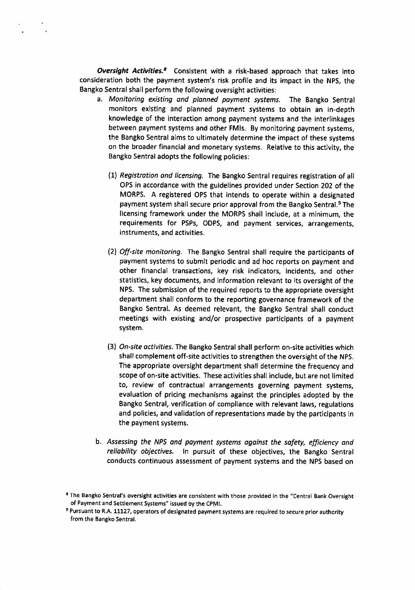**Oversight Activities.**<sup>8</sup> Consistent with a risk-based approach that takes into consideration both the payment system's risk profile and its impact in the NPS, the Bangko Sentral shall perform the following oversight activities:

- a. Monitoring existing and planned poyment systems. The Bangko Sentral monitors existing and planned payment systems to obtain an in-depth knowledge of the interaction among payment systems and the interlinkages between payment systems and other FMls. By monitoring payment systems, the Bangko Sentral aims to ultimately determine the impact of these systems on the broader financial and monetary systems. Relative to this activity, the Bangko Sentral adopts the following policies:
	- (L) Registrotion and licensing. The Bangko Sentral requires registration of all OPS in accordance with the guidelines provided under Section 202 of the MORPS. A registered OPS that intends to operate within a designated payment system shall secure prior approval from the Bangko Sentral.<sup>9</sup> The licensing framework under the MORPS shall include, at a minimum, the requirements for PSPs, ODPS, and payment services, arrangements, instruments, and activities.
	- (21 Off-site monitoring. The Bangko Sentral shall require the participants of payment systems to submit periodic and ad hoc reports on payment and other financial transactions, key risk indicators, incidents, and other statistics, key documents, and information relevant to its oversight of the NPS. The submission of the required reports to the appropriate oversight department shall conform to the reporting governance framework of the Bangko Sentral. As deemed relevant, the Bangko Sentral shall conduct meetings with existing and/or prospective participants of a payment system.
	- (3) On-site octivities. The Bangko Sentral shall perform on-site activities which shall complement off-site activities to strengthen the oversight of the NP5. The appropriate oversight department shall determine the frequency and scope of on-site activities. These activities shall include, but are not limited to, review of contractual arrangements governing payment systems, evaluation of pricing mechanisms against the principles adopted by the Bangko Sentral, verification of compliance with relevant laws, regulations and policies, and validation of representations made by the participants in the payment systems.
- b. Assessing the NPS and payment systems against the safety, efficiency and reliability objectives. In pursuit of these objectives, the Bangko Sentral conducts continuous assessment of payment systems and the NPS based on

<sup>&</sup>lt;sup>8</sup> The Bangko Sentral's oversight activities are consistent with those provided in the "Central Bank Oversight of Payment and Settlement Systems" issued by the CpMl.

<sup>&</sup>lt;sup>9</sup> Pursuant to R.A. 11127, operators of designated payment systems are required to secure prior authority from the Bangko Sentral.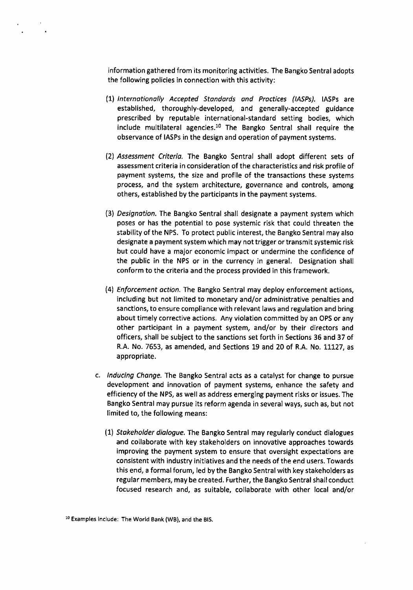information gathered from its monitoring activities. The Bangko Sentral adopts the following policies in connection with this activity:

- (1) Internationally Accepted Standards and Practices (IASPs). IASPs are established, thoroughly-developed, and generally-accepted guidance prescribed by reputable international-standard setting bodies, which include multilateral agencies.<sup>10</sup> The Bangko Sentral shall require the observance of IASPs in the design and operation of payment systems.
- (21 Assessment Criteria. The Bangko Sentral shall adopt different sets of assessment criteria in consideration of the characteristics and risk profile of payment systems, the size and profile of the transactions these systems process, and the system architecture, governance and controls, among others, established by the participants in the payment systems.
- (31 Designation. The Bangko Sentral shall designate a payment system which poses or has the potential to pose systemic risk that could threaten the stability of the NPS. To protect public interest, the Bangko Sentral may also designate a payment system which may not trigger or transmit systemic risk but could have a major economic impact or undermine the confidence of the public in the NPS or in the currency in general, Designation shall conform to the criteria and the process provided in this framework.
- (41 Enforcement oction. The Bangko Sentral may deploy enforcement actions, including but not limited to monetary and/or administrative penalties and sanctions, to ensure compliance with relevant laws and regulation and bring about timely corrective actions. Any violation committed by an OPS or any other participant in a payment system, and/or by their directors and officers, shall be subject to the sanctions set forth in Sections 36 and 37 of R.A. No. 7653, as amended, and Sections 19 and 20 of R.A. No. 11127, as appropriate.
- c. Inducing Change. The Bangko Sentral acts as a catalyst for change to pursue development and innovation of payment systerns, enhance the safety and efficiency of the NPS, as well as address emerging payment risks or issues. The Bangko Sentral may pursue its reform agenda in several ways, such as, but not limited to, the following means:
	- (11 Stokeholder dialogue. The Bangko Sentral may regularly conduct dialogues and collaborate with key stakeholders on innovative approaches towards improving the payment system to ensure that oversight expectations are consistent with industry initiatives and the needs of the end users. Towards this end, a formal forum, led by the Bangko Sentral with key stakeholders as regular members, may be created. Further, the Bangko Sentral shallconduct focused research and, as suitable, collaborate with other local and/or

<sup>10</sup>Examples include: The World Bank (WB), and the BlS.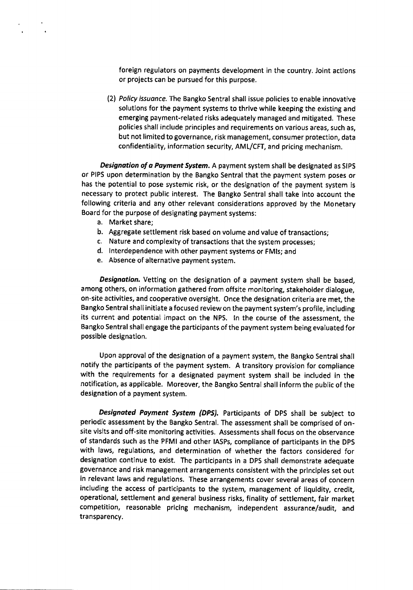foreign regulators on payments development in the country, Joint actions or projects can be pursued for this purpose.

(21 Policy issuonce. The Bangko Sentral shall issue policies to enable innovative solutions for the payment systems to thrive while keeping the existing and emerging payment-related risks adequately managed and mitigated. These policies shall include principles and requirements on various areas, such as, but not limited to governance, risk management, consumer protection, data confidentiality, information security, AML/CFT, and pricing mechanism.

Designation of a Payment System. A payment system shall be designated as SIPS or PIPS upon determination by the Bangko Sentral that the payment system poses or has the potential to pose systemic risk, or the designation of the payment system is necessary to protect public interest. The Bangko Sentral shall take into account the following criteria and any other relevant considerations approved by the Monetary Board for the purpose of designating payment systems:

- a. Market share;
- b. Aggregate settlement risk based on volume and value of transactions;
- c. Nature and complexity of transactions that the system processes;
- d. Interdependence with other payment systems or FMls; and
- e. Absence of alternative payment system.

Designation. Vetting on the designation of a payment system shall be based, among others, on information gathered from offsite monitoring, stakeholder dialogue, on-site activities, and cooperative oversight. Once the designation criteria are met, the Bangko Sentral shalI initiate a focused review on the payment system's profile, including its current and potential impact on the NPS. ln the course of the assessment, the Bangko Sentral shall engage the participants of the payment system being evaluated for possible designation,

Upon approval of the designation of a payment system, the Bangko Sentral shall notify the participants of the payment system. A transitory provision for compliance with the requirements for a designated payment system shall be included in the notification, as applicable. Moreover, the Bangko SentraI shall inform the public of the designation of a payment system.

Designated Payment System (DPS). Participants of DPS shall be subject to periodic assessment by the Bangko Sentral, The assessment shall be comprised of onsite visits and off-site monitoring activities. Assessments shall focus on the observance of standards such as the PFMI and other lASPs, compliance of participants in the DPS with laws, regulations, and determination of whether the factors considered for designation continue to exist. The participants in a DPS shall demonstrate adequate governance and risk management arrangements consistent with the principles set out in relevant laws and regulations. These arrangements cover several areas of concern including the access of participants to the system, management of liquidity, credit, operational, settlement and general business risks, finality of settlement, fair market competition, reasonable pricing rnechanism, independent assurance/audit, and transparency.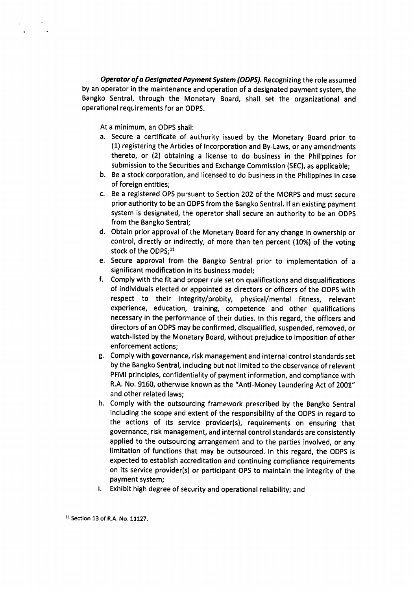Operator of a Designated Payment System (ODPS). Recognizing the role assumed by an operator in the maintenance and operation of a designated payment system, the Bangko Sentral, through the Monetary Board, shall set the organizational and operational requirements for an ODPS.

At a minimum, an ODPS shall:

- a. Secure a certificate of authority issued by the Monetary Board prior to (1) registering the Articles of lncorporation and By-Laws, or any amendments thereto, or (2) obtaining a license to do business in the Philippines for submission to the Securities and Exchange Commission (SEC), as applicable;
- b. Be a stock corporation, and licensed to do business in the Philippines in case of foreign entities;
- c. Be a registered OPS pursuant to Section 2O2 of the MORPS and must secure prior authority to be an ODPS from the Bangko Sentral. lf an existing payment system is designated, the operator shall secure an authority to be an ODPS from the Bangko Sentral;
- d. Obtain prior approval of the Monetary Board for any change in ownership or control, directly or indirectly, of more than ten percent (10%) of the voting stock of the ODPS:<sup>11</sup>
- e. Secure approval from the Bangko Sentral prior to implementation of <sup>a</sup> significant modification in its business model;
- f. Comply with the fit and proper rule set on qualifications and disqualifications of indlviduals elected or appointed as directors or officers of the ODPS with respect to their integrity/probity, physical/mental fitness, relevant experience, education, training, competence and other qualifications necessary in the performance of their duties. In this regard, the officers and directors of an ODPS may be confirmed, disqualified, suspended, removed, or watch-listed by the Monetary Board, without prejudice to imposition of other enforcement actions;
- g. Comply with governance, risk management and internal control standards set by the Bangko Sentral, including but not limited to the observance of relevant PFMI principles, confidentiality of payment information, and compliance with R.A. No. 9160, otherwise known as the "Anti-Money Laundering Act of 2001" and other related laws;
- h. Comply with the outsourcing framework prescribed by the Bangko Sentral including the scope and extent of the responsibility of the ODPS in regard to the actions of its service provider(s), requirements on ensuring that governance, risk management, and internal controlstandards are consistently applied to the outsourcing arrangement and to the parties involved, or any limitation of functions that may be outsourced. In this regard, the ODPS is expected to establish accreditation and continuing compliance requirements on its service provider(s) or participant OPS to maintain the integrity of the payment system;
- i. Exhibit high degree of security and operational reliability; and